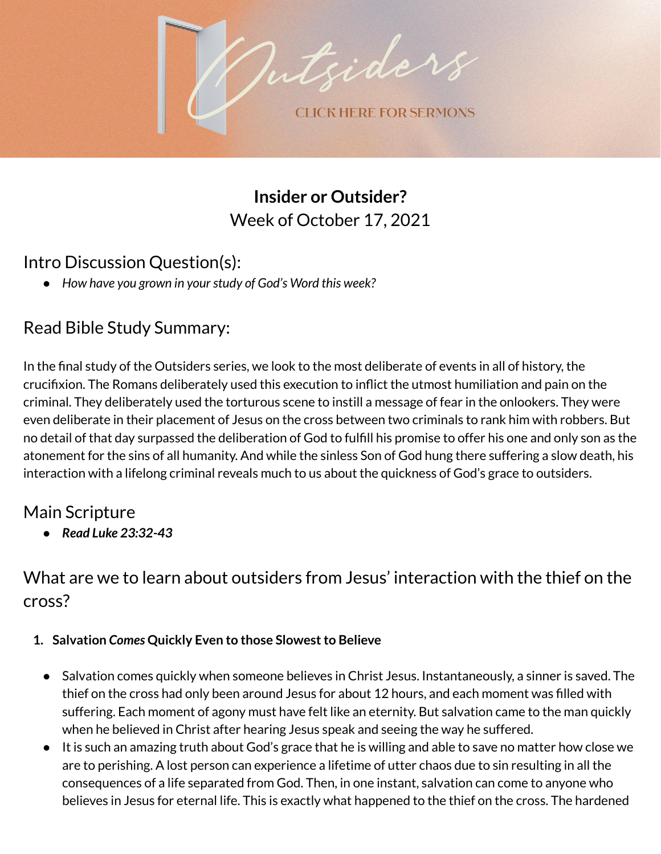

**Insider or Outsider?** Week of October 17, 2021

## Intro Discussion Question(s):

*● How have you grown in yourstudy of God's Word this week?*

# Read Bible Study Summary:

In the final study of the Outsiders series, we look to the most deliberate of events in all of history, the crucifixion. The Romans deliberately used this execution to inflict the utmost humiliation and pain on the criminal. They deliberately used the torturous scene to instill a message of fear in the onlookers. They were even deliberate in their placement of Jesus on the cross between two criminals to rank him with robbers. But no detail of that day surpassed the deliberation of God to fulfill his promise to offer his one and only son as the atonement for the sins of all humanity. And while the sinless Son of God hung there suffering a slow death, his interaction with a lifelong criminal reveals much to us about the quickness of God's grace to outsiders.

## Main Scripture

*● Read Luke 23:32-43*

What are we to learn about outsiders from Jesus' interaction with the thief on the cross?

### **1. Salvation** *Comes* **Quickly Even to those Slowestto Believe**

- Salvation comes quickly when someone believes in Christ Jesus. Instantaneously, a sinner is saved. The thief on the cross had only been around Jesus for about 12 hours, and each moment was filled with suffering. Each moment of agony must have felt like an eternity. But salvation came to the man quickly when he believed in Christ after hearing Jesus speak and seeing the way he suffered.
- It is such an amazing truth about God's grace that he is willing and able to save no matter how close we are to perishing. A lost person can experience a lifetime of utter chaos due to sin resulting in all the consequences of a life separated from God. Then, in one instant, salvation can come to anyone who believes in Jesus for eternal life. This is exactly what happened to the thief on the cross. The hardened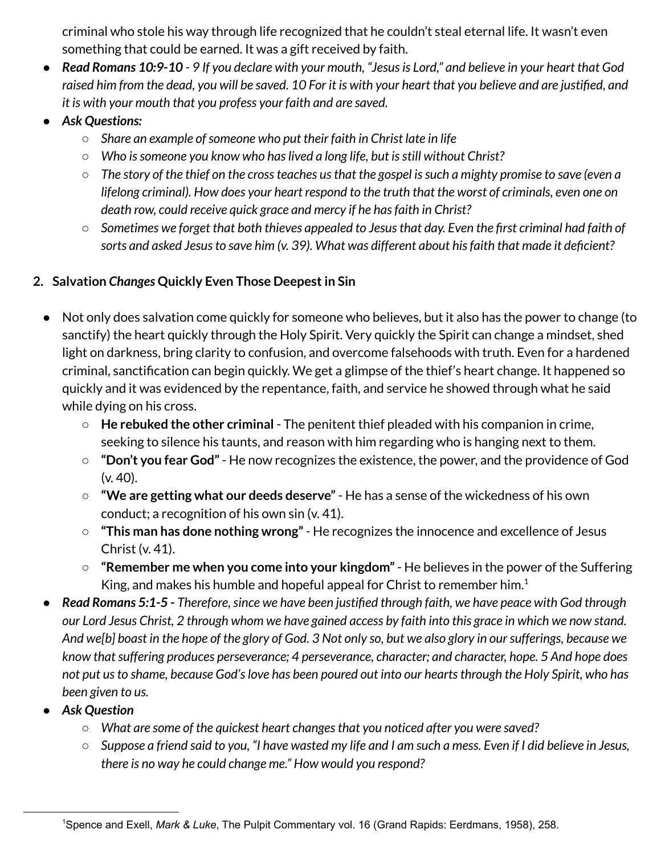criminal who stole his way through life recognized that he couldn't steal eternal life. It wasn't even something that could be earned. It was a gift received by faith.

- Read Romans 10:9-10 9 If you declare with your mouth, "Jesus is Lord," and believe in your heart that God raised him from the dead, you will be saved. 10 For it is with your heart that you believe and are justified, and *it is with your mouth that you profess your faith and are saved.*
- *● Ask Questions:*
	- *○ Share an example ofsomeone who put their faith in Christ late in life*
	- *○ Who issomeone you know who haslived a long life, but isstill without Christ?*
	- $\circ$  The story of the thief on the cross teaches us that the gospel is such a mighty promise to save (even a lifelong criminal). How does your heart respond to the truth that the worst of criminals, even one on *death row, could receive quick grace and mercy if he hasfaith in Christ?*
	- $\circ$  Sometimes we forget that both thieves appealed to Jesus that day. Even the first criminal had faith of *sorts and asked Jesusto save him (v. 39). What was different about hisfaith that made it deficient?*

### **2. Salvation** *Changes* **Quickly Even Those Deepestin Sin**

- Not only does salvation come quickly for someone who believes, but it also has the power to change (to sanctify) the heart quickly through the Holy Spirit. Very quickly the Spirit can change a mindset, shed light on darkness, bring clarity to confusion, and overcome falsehoods with truth. Even for a hardened criminal, sanctification can begin quickly. We get a glimpse of the thief's heart change. It happened so quickly and it was evidenced by the repentance, faith, and service he showed through what he said while dying on his cross.
	- **He rebuked the other criminal** The penitent thief pleaded with his companion in crime, seeking to silence his taunts, and reason with him regarding who is hanging next to them.
	- **"Don't you fear God"** He now recognizes the existence, the power, and the providence of God (v. 40).
	- **"We are getting what our deeds deserve"** He has a sense of the wickedness of his own conduct; a recognition of his own sin (v. 41).
	- **"This man has done nothing wrong"** He recognizes the innocence and excellence of Jesus Christ (v. 41).
	- **"Remember me when you come into your kingdom"** He believes in the power of the Suffering King, and makes his humble and hopeful appeal for Christ to remember him. $^1$
- Read Romans 5:1-5 Therefore, since we have been justified through faith, we have peace with God through our Lord Jesus Christ, 2 through whom we have gained access by faith into this grace in which we now stand. And we[b] boast in the hope of the glory of God. 3 Not only so, but we also glory in our sufferings, because we *know thatsuffering produces perseverance; 4 perseverance, character; and character, hope. 5 And hope does* not put us to shame, because God's love has been poured out into our hearts through the Holy Spirit, who has *been given to us.*
- *● Ask Question*
	- *○ What are some of the quickest heart changesthat you noticed after you were saved?*
	- $\circ$  Suppose a friend said to you, "I have wasted my life and I am such a mess. Even if I did believe in Jesus, *there is no way he could change me." How would you respond?*

<sup>1</sup>Spence and Exell, *Mark & Luke*, The Pulpit Commentary vol. 16 (Grand Rapids: Eerdmans, 1958), 258.